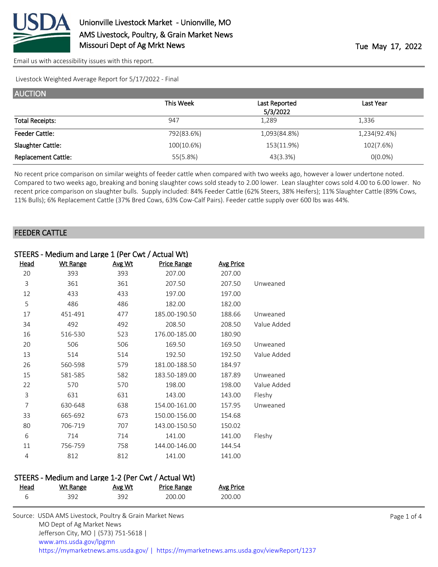

[Email us with accessibility issues with this report.](mailto:mars@ams.usda.gov?subject=508%20issue)

Livestock Weighted Average Report for 5/17/2022 - Final

| <b>AUCTION</b>             |            |               |              |
|----------------------------|------------|---------------|--------------|
|                            | This Week  | Last Reported | Last Year    |
|                            |            | 5/3/2022      |              |
| <b>Total Receipts:</b>     | 947        | 1,289         | 1,336        |
| <b>Feeder Cattle:</b>      | 792(83.6%) | 1,093(84.8%)  | 1,234(92.4%) |
| Slaughter Cattle:          | 100(10.6%) | 153(11.9%)    | 102(7.6%)    |
| <b>Replacement Cattle:</b> | 55(5.8%)   | 43(3.3%)      | $O(0.0\%)$   |

No recent price comparison on similar weights of feeder cattle when compared with two weeks ago, however a lower undertone noted. Compared to two weeks ago, breaking and boning slaughter cows sold steady to 2.00 lower. Lean slaughter cows sold 4.00 to 6.00 lower. No recent price comparison on slaughter bulls. Supply included: 84% Feeder Cattle (62% Steers, 38% Heifers); 11% Slaughter Cattle (89% Cows, 11% Bulls); 6% Replacement Cattle (37% Bred Cows, 63% Cow-Calf Pairs). Feeder cattle supply over 600 lbs was 44%.

### FEEDER CATTLE

| STEERS - Medium and Large 1 (Per Cwt / Actual Wt) |                 |        |               |                  |             |  |
|---------------------------------------------------|-----------------|--------|---------------|------------------|-------------|--|
| Head                                              | <b>Wt Range</b> | Avg Wt | Price Range   | <b>Avg Price</b> |             |  |
| 20                                                | 393             | 393    | 207.00        | 207.00           |             |  |
| 3                                                 | 361             | 361    | 207.50        | 207.50           | Unweaned    |  |
| 12                                                | 433             | 433    | 197.00        | 197.00           |             |  |
| 5                                                 | 486             | 486    | 182.00        | 182.00           |             |  |
| 17                                                | 451-491         | 477    | 185.00-190.50 | 188.66           | Unweaned    |  |
| 34                                                | 492             | 492    | 208.50        | 208.50           | Value Added |  |
| 16                                                | 516-530         | 523    | 176.00-185.00 | 180.90           |             |  |
| 20                                                | 506             | 506    | 169.50        | 169.50           | Unweaned    |  |
| 13                                                | 514             | 514    | 192.50        | 192.50           | Value Added |  |
| 26                                                | 560-598         | 579    | 181.00-188.50 | 184.97           |             |  |
| 15                                                | 581-585         | 582    | 183.50-189.00 | 187.89           | Unweaned    |  |
| 22                                                | 570             | 570    | 198.00        | 198.00           | Value Added |  |
| 3                                                 | 631             | 631    | 143.00        | 143.00           | Fleshy      |  |
| $\overline{7}$                                    | 630-648         | 638    | 154.00-161.00 | 157.95           | Unweaned    |  |
| 33                                                | 665-692         | 673    | 150.00-156.00 | 154.68           |             |  |
| 80                                                | 706-719         | 707    | 143.00-150.50 | 150.02           |             |  |
| 6                                                 | 714             | 714    | 141.00        | 141.00           | Fleshy      |  |
| 11                                                | 756-759         | 758    | 144.00-146.00 | 144.54           |             |  |
| 4                                                 | 812             | 812    | 141.00        | 141.00           |             |  |

### STEERS - Medium and Large 1-2 (Per Cwt / Actual Wt)

| Head | <b>Wt Range</b> | Avg Wt | Price Range | <b>Avg Price</b> |
|------|-----------------|--------|-------------|------------------|
|      | 392             | 392    | 200.00      | 200.00           |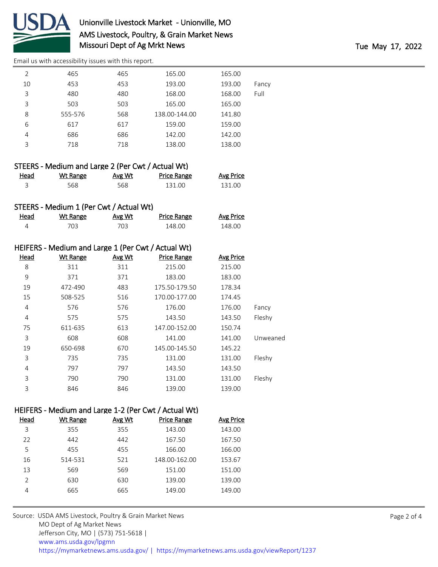

# Unionville Livestock Market - Unionville, MO AMS Livestock, Poultry, & Grain Market News Missouri Dept of Ag Mrkt News Tue May 17, 2022

[Email us with accessibility issues with this report.](mailto:mars@ams.usda.gov?subject=508%20issue)

| $\mathcal{P}$ | 465     | 465 | 165.00        | 165.00 |       |
|---------------|---------|-----|---------------|--------|-------|
| 10            | 453     | 453 | 193.00        | 193.00 | Fancy |
| 3             | 480     | 480 | 168.00        | 168.00 | Full  |
| 3             | 503     | 503 | 165.00        | 165.00 |       |
| 8             | 555-576 | 568 | 138.00-144.00 | 141.80 |       |
| 6             | 617     | 617 | 159.00        | 159.00 |       |
| 4             | 686     | 686 | 142.00        | 142.00 |       |
| 3             | 718     | 718 | 138.00        | 138.00 |       |
|               |         |     |               |        |       |

| STEERS - Medium and Large 2 (Per Cwt / Actual Wt) |          |        |             |                  |  |  |
|---------------------------------------------------|----------|--------|-------------|------------------|--|--|
| Head                                              | Wt Range | Avg Wt | Price Range | <b>Avg Price</b> |  |  |
|                                                   | 568      | 568    | 131.00      | 131.00           |  |  |

## STEERS - Medium 1 (Per Cwt / Actual Wt)

| Head | Wt Range | <u>Avg Wt</u> | Price Range | <b>Avg Price</b> |
|------|----------|---------------|-------------|------------------|
|      |          | 703           | 148.00      | 148.00           |

|             | HEIFERS - Medium and Large 1 (Per Cwt / Actual Wt) |        |                    |                  |          |  |  |
|-------------|----------------------------------------------------|--------|--------------------|------------------|----------|--|--|
| <b>Head</b> | <b>Wt Range</b>                                    | Avg Wt | <b>Price Range</b> | <b>Avg Price</b> |          |  |  |
| 8           | 311                                                | 311    | 215.00             | 215.00           |          |  |  |
| 9           | 371                                                | 371    | 183.00             | 183.00           |          |  |  |
| 19          | 472-490                                            | 483    | 175.50-179.50      | 178.34           |          |  |  |
| 15          | 508-525                                            | 516    | 170.00-177.00      | 174.45           |          |  |  |
| 4           | 576                                                | 576    | 176.00             | 176.00           | Fancy    |  |  |
| 4           | 575                                                | 575    | 143.50             | 143.50           | Fleshy   |  |  |
| 75          | 611-635                                            | 613    | 147.00-152.00      | 150.74           |          |  |  |
| 3           | 608                                                | 608    | 141.00             | 141.00           | Unweaned |  |  |
| 19          | 650-698                                            | 670    | 145.00-145.50      | 145.22           |          |  |  |
| 3           | 735                                                | 735    | 131.00             | 131.00           | Fleshy   |  |  |
| 4           | 797                                                | 797    | 143.50             | 143.50           |          |  |  |
| 3           | 790                                                | 790    | 131.00             | 131.00           | Fleshy   |  |  |
| 3           | 846                                                | 846    | 139.00             | 139.00           |          |  |  |

# HEIFERS - Medium and Large 1-2 (Per Cwt / Actual Wt)

| Head          | Wt Range | Avg Wt | <b>Price Range</b> | Avg Price |
|---------------|----------|--------|--------------------|-----------|
| 3             | 355      | 355    | 143.00             | 143.00    |
| 22            | 442      | 442    | 167.50             | 167.50    |
| 5             | 455      | 455    | 166.00             | 166.00    |
| 16            | 514-531  | 521    | 148.00-162.00      | 153.67    |
| 13            | 569      | 569    | 151.00             | 151.00    |
| $\mathcal{P}$ | 630      | 630    | 139.00             | 139.00    |
| 4             | 665      | 665    | 149.00             | 149.00    |
|               |          |        |                    |           |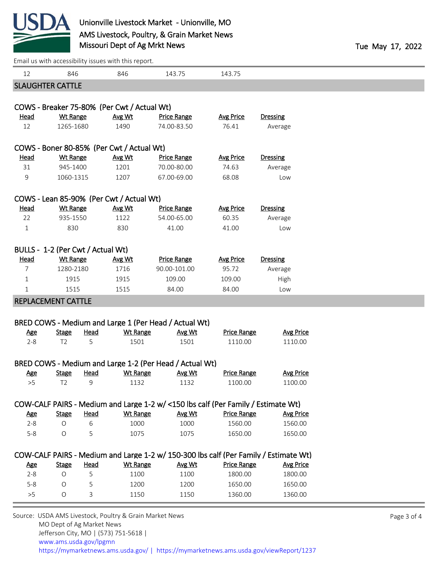

[Email us with accessibility issues with this report.](mailto:mars@ams.usda.gov?subject=508%20issue)

|                         |                                           |             | Effiail us with accessibility issues with this report.  |                    |                                                                                      |                    |  |  |  |
|-------------------------|-------------------------------------------|-------------|---------------------------------------------------------|--------------------|--------------------------------------------------------------------------------------|--------------------|--|--|--|
| 12                      | 846                                       |             | 846                                                     | 143.75             | 143.75                                                                               |                    |  |  |  |
| <b>SLAUGHTER CATTLE</b> |                                           |             |                                                         |                    |                                                                                      |                    |  |  |  |
|                         |                                           |             | COWS - Breaker 75-80% (Per Cwt / Actual Wt)             |                    |                                                                                      |                    |  |  |  |
| <b>Head</b>             | <b>Wt Range</b>                           |             | Avg Wt                                                  | <b>Price Range</b> | <b>Avg Price</b>                                                                     | <b>Dressing</b>    |  |  |  |
| 12                      | 1265-1680                                 |             | 1490                                                    | 74.00-83.50        | 76.41                                                                                | Average            |  |  |  |
|                         |                                           |             |                                                         |                    |                                                                                      |                    |  |  |  |
|                         | COWS - Boner 80-85% (Per Cwt / Actual Wt) |             |                                                         |                    |                                                                                      |                    |  |  |  |
| <b>Head</b>             | <b>Wt Range</b>                           |             | Avg Wt                                                  | <b>Price Range</b> | <b>Avg Price</b>                                                                     | <b>Dressing</b>    |  |  |  |
| 31                      | 945-1400                                  |             | 1201                                                    | 70.00-80.00        | 74.63                                                                                | Average            |  |  |  |
| 9                       | 1060-1315                                 |             | 1207                                                    | 67.00-69.00        | 68.08                                                                                | Low                |  |  |  |
|                         |                                           |             | COWS - Lean 85-90% (Per Cwt / Actual Wt)                |                    |                                                                                      |                    |  |  |  |
| <b>Head</b>             | <b>Wt Range</b>                           |             | Avg Wt                                                  | <b>Price Range</b> | <b>Avg Price</b>                                                                     | <b>Dressing</b>    |  |  |  |
| 22                      | 935-1550                                  |             | 1122                                                    | 54.00-65.00        | 60.35                                                                                | Average            |  |  |  |
| $\mathbf 1$             | 830                                       |             | 830                                                     | 41.00              | 41.00                                                                                | Low                |  |  |  |
|                         |                                           |             |                                                         |                    |                                                                                      |                    |  |  |  |
|                         | BULLS - 1-2 (Per Cwt / Actual Wt)         |             |                                                         |                    |                                                                                      |                    |  |  |  |
| <b>Head</b>             | <b>Wt Range</b>                           |             | Avg Wt                                                  | <b>Price Range</b> | <b>Avg Price</b>                                                                     | <b>Dressing</b>    |  |  |  |
| 7                       | 1280-2180                                 |             | 1716                                                    | 90.00-101.00       | 95.72                                                                                | Average            |  |  |  |
| 1                       | 1915                                      |             | 1915                                                    | 109.00             | 109.00                                                                               | High               |  |  |  |
| $\mathbf 1$             | 1515                                      |             | 1515                                                    | 84.00              | 84.00                                                                                | Low                |  |  |  |
|                         | <b>REPLACEMENT CATTLE</b>                 |             |                                                         |                    |                                                                                      |                    |  |  |  |
|                         |                                           |             |                                                         |                    |                                                                                      |                    |  |  |  |
|                         |                                           |             | BRED COWS - Medium and Large 1 (Per Head / Actual Wt)   |                    |                                                                                      |                    |  |  |  |
| <b>Age</b>              | <b>Stage</b>                              | <b>Head</b> | <b>Wt Range</b>                                         | Avg Wt             | <b>Price Range</b>                                                                   | <b>Avg Price</b>   |  |  |  |
| $2 - 8$                 | T <sub>2</sub>                            | 5           | 1501                                                    | 1501               | 1110.00                                                                              | 1110.00            |  |  |  |
|                         |                                           |             |                                                         |                    |                                                                                      |                    |  |  |  |
|                         |                                           |             | BRED COWS - Medium and Large 1-2 (Per Head / Actual Wt) |                    |                                                                                      |                    |  |  |  |
| <b>Age</b>              | <b>Stage</b>                              | <b>Head</b> | <b>Wt Range</b>                                         | Avg Wt             | <b>Price Range</b>                                                                   | <b>Avg Price</b>   |  |  |  |
| >5                      | T <sub>2</sub>                            | 9           | 1132                                                    | 1132               | 1100.00                                                                              | 1100.00            |  |  |  |
|                         |                                           |             |                                                         |                    |                                                                                      |                    |  |  |  |
|                         |                                           | Head        |                                                         |                    | COW-CALF PAIRS - Medium and Large 1-2 w/ <150 lbs calf (Per Family / Estimate Wt)    |                    |  |  |  |
| <b>Age</b>              | <b>Stage</b><br>O                         |             | <b>Wt Range</b>                                         | Avg Wt<br>1000     | <b>Price Range</b>                                                                   | <b>Avg Price</b>   |  |  |  |
| $2 - 8$<br>$5 - 8$      | O                                         | 6<br>5      | 1000<br>1075                                            | 1075               | 1560.00<br>1650.00                                                                   | 1560.00<br>1650.00 |  |  |  |
|                         |                                           |             |                                                         |                    |                                                                                      |                    |  |  |  |
|                         |                                           |             |                                                         |                    | COW-CALF PAIRS - Medium and Large 1-2 w/ 150-300 lbs calf (Per Family / Estimate Wt) |                    |  |  |  |
| <b>Age</b>              | <b>Stage</b>                              | Head        | <b>Wt Range</b>                                         | Avg Wt             | <b>Price Range</b>                                                                   | <b>Avg Price</b>   |  |  |  |
| $2 - 8$                 | $\circ$                                   | 5           | 1100                                                    | 1100               | 1800.00                                                                              | 1800.00            |  |  |  |
| $5 - 8$                 | O                                         | 5           | 1200                                                    | 1200               | 1650.00                                                                              | 1650.00            |  |  |  |
| $>5$                    | O                                         | 3           | 1150                                                    | 1150               | 1360.00                                                                              | 1360.00            |  |  |  |
|                         |                                           |             |                                                         |                    |                                                                                      |                    |  |  |  |